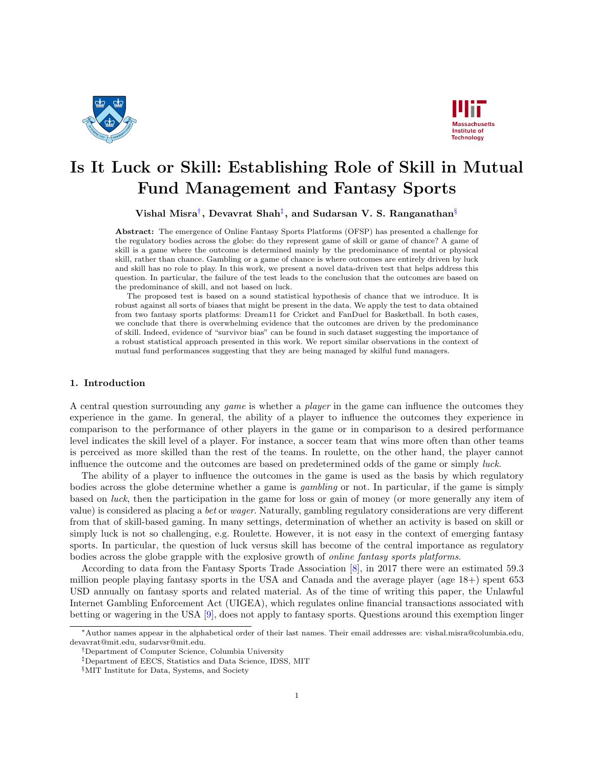



# Is It Luck or Skill: Establishing Role of Skill in Mutual Fund Management and Fantasy Sports

Vishal Misra $^\dagger,$  Devavrat Shah $^\ddagger,$  and Sudarsan V. S. Ranganathan $^\S$ 

Abstract: The emergence of Online Fantasy Sports Platforms (OFSP) has presented a challenge for the regulatory bodies across the globe: do they represent game of skill or game of chance? A game of skill is a game where the outcome is determined mainly by the predominance of mental or physical skill, rather than chance. Gambling or a game of chance is where outcomes are entirely driven by luck and skill has no role to play. In this work, we present a novel data-driven test that helps address this question. In particular, the failure of the test leads to the conclusion that the outcomes are based on the predominance of skill, and not based on luck.

The proposed test is based on a sound statistical hypothesis of chance that we introduce. It is robust against all sorts of biases that might be present in the data. We apply the test to data obtained from two fantasy sports platforms: Dream11 for Cricket and FanDuel for Basketball. In both cases, we conclude that there is overwhelming evidence that the outcomes are driven by the predominance of skill. Indeed, evidence of "survivor bias" can be found in such dataset suggesting the importance of a robust statistical approach presented in this work. We report similar observations in the context of mutual fund performances suggesting that they are being managed by skilful fund managers.

# 1. Introduction

A central question surrounding any game is whether a player in the game can influence the outcomes they experience in the game. In general, the ability of a player to influence the outcomes they experience in comparison to the performance of other players in the game or in comparison to a desired performance level indicates the skill level of a player. For instance, a soccer team that wins more often than other teams is perceived as more skilled than the rest of the teams. In roulette, on the other hand, the player cannot influence the outcome and the outcomes are based on predetermined odds of the game or simply luck.

The ability of a player to influence the outcomes in the game is used as the basis by which regulatory bodies across the globe determine whether a game is gambling or not. In particular, if the game is simply based on luck, then the participation in the game for loss or gain of money (or more generally any item of value) is considered as placing a bet or wager. Naturally, gambling regulatory considerations are very different from that of skill-based gaming. In many settings, determination of whether an activity is based on skill or simply luck is not so challenging, e.g. Roulette. However, it is not easy in the context of emerging fantasy sports. In particular, the question of luck versus skill has become of the central importance as regulatory bodies across the globe grapple with the explosive growth of online fantasy sports platforms.

According to data from the Fantasy Sports Trade Association [\[8\]](#page-11-0), in 2017 there were an estimated 59.3 million people playing fantasy sports in the USA and Canada and the average player (age 18+) spent 653 USD annually on fantasy sports and related material. As of the time of writing this paper, the Unlawful Internet Gambling Enforcement Act (UIGEA), which regulates online financial transactions associated with betting or wagering in the USA [\[9\]](#page-11-1), does not apply to fantasy sports. Questions around this exemption linger

<sup>∗</sup>Author names appear in the alphabetical order of their last names. Their email addresses are: vishal.misra@columbia.edu, devavrat@mit.edu, sudarvsr@mit.edu.

<span id="page-0-0"></span><sup>†</sup>Department of Computer Science, Columbia University

<span id="page-0-1"></span><sup>‡</sup>Department of EECS, Statistics and Data Science, IDSS, MIT

<span id="page-0-2"></span><sup>§</sup>MIT Institute for Data, Systems, and Society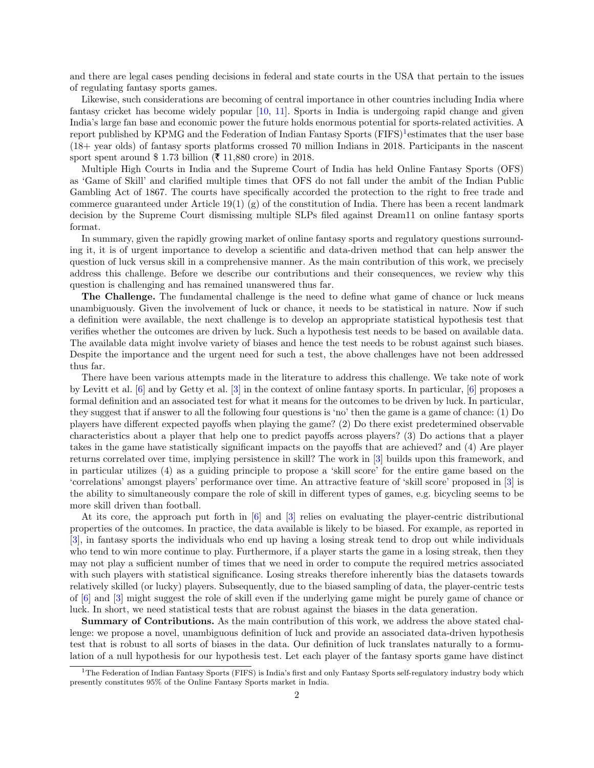and there are legal cases pending decisions in federal and state courts in the USA that pertain to the issues of regulating fantasy sports games.

Likewise, such considerations are becoming of central importance in other countries including India where fantasy cricket has become widely popular [\[10,](#page-11-2) [11\]](#page-11-3). Sports in India is undergoing rapid change and given India's large fan base and economic power the future holds enormous potential for sports-related activities. A report published by KPMG and the Federation of Indian Fantasy Sports  $(FIFS)^1$  $(FIFS)^1$ estimates that the user base (18+ year olds) of fantasy sports platforms crossed 70 million Indians in 2018. Participants in the nascent sport spent around \$ 1.73 billion ( $\bar{\mathbf{\mathsf{z}}}$  11,880 crore) in 2018.

Multiple High Courts in India and the Supreme Court of India has held Online Fantasy Sports (OFS) as 'Game of Skill' and clarified multiple times that OFS do not fall under the ambit of the Indian Public Gambling Act of 1867. The courts have specifically accorded the protection to the right to free trade and commerce guaranteed under Article 19(1) (g) of the constitution of India. There has been a recent landmark decision by the Supreme Court dismissing multiple SLPs filed against Dream11 on online fantasy sports format.

In summary, given the rapidly growing market of online fantasy sports and regulatory questions surrounding it, it is of urgent importance to develop a scientific and data-driven method that can help answer the question of luck versus skill in a comprehensive manner. As the main contribution of this work, we precisely address this challenge. Before we describe our contributions and their consequences, we review why this question is challenging and has remained unanswered thus far.

The Challenge. The fundamental challenge is the need to define what game of chance or luck means unambiguously. Given the involvement of luck or chance, it needs to be statistical in nature. Now if such a definition were available, the next challenge is to develop an appropriate statistical hypothesis test that verifies whether the outcomes are driven by luck. Such a hypothesis test needs to be based on available data. The available data might involve variety of biases and hence the test needs to be robust against such biases. Despite the importance and the urgent need for such a test, the above challenges have not been addressed thus far.

There have been various attempts made in the literature to address this challenge. We take note of work by Levitt et al. [\[6\]](#page-11-4) and by Getty et al. [\[3\]](#page-11-5) in the context of online fantasy sports. In particular, [\[6\]](#page-11-4) proposes a formal definition and an associated test for what it means for the outcomes to be driven by luck. In particular, they suggest that if answer to all the following four questions is 'no' then the game is a game of chance: (1) Do players have different expected payoffs when playing the game? (2) Do there exist predetermined observable characteristics about a player that help one to predict payoffs across players? (3) Do actions that a player takes in the game have statistically significant impacts on the payoffs that are achieved? and (4) Are player returns correlated over time, implying persistence in skill? The work in [\[3\]](#page-11-5) builds upon this framework, and in particular utilizes (4) as a guiding principle to propose a 'skill score' for the entire game based on the 'correlations' amongst players' performance over time. An attractive feature of 'skill score' proposed in [\[3\]](#page-11-5) is the ability to simultaneously compare the role of skill in different types of games, e.g. bicycling seems to be more skill driven than football.

At its core, the approach put forth in [\[6\]](#page-11-4) and [\[3\]](#page-11-5) relies on evaluating the player-centric distributional properties of the outcomes. In practice, the data available is likely to be biased. For example, as reported in [\[3\]](#page-11-5), in fantasy sports the individuals who end up having a losing streak tend to drop out while individuals who tend to win more continue to play. Furthermore, if a player starts the game in a losing streak, then they may not play a sufficient number of times that we need in order to compute the required metrics associated with such players with statistical significance. Losing streaks therefore inherently bias the datasets towards relatively skilled (or lucky) players. Subsequently, due to the biased sampling of data, the player-centric tests of [\[6\]](#page-11-4) and [\[3\]](#page-11-5) might suggest the role of skill even if the underlying game might be purely game of chance or luck. In short, we need statistical tests that are robust against the biases in the data generation.

Summary of Contributions. As the main contribution of this work, we address the above stated challenge: we propose a novel, unambiguous definition of luck and provide an associated data-driven hypothesis test that is robust to all sorts of biases in the data. Our definition of luck translates naturally to a formulation of a null hypothesis for our hypothesis test. Let each player of the fantasy sports game have distinct

<span id="page-1-0"></span><sup>&</sup>lt;sup>1</sup>The Federation of Indian Fantasy Sports (FIFS) is India's first and only Fantasy Sports self-regulatory industry body which presently constitutes 95% of the Online Fantasy Sports market in India.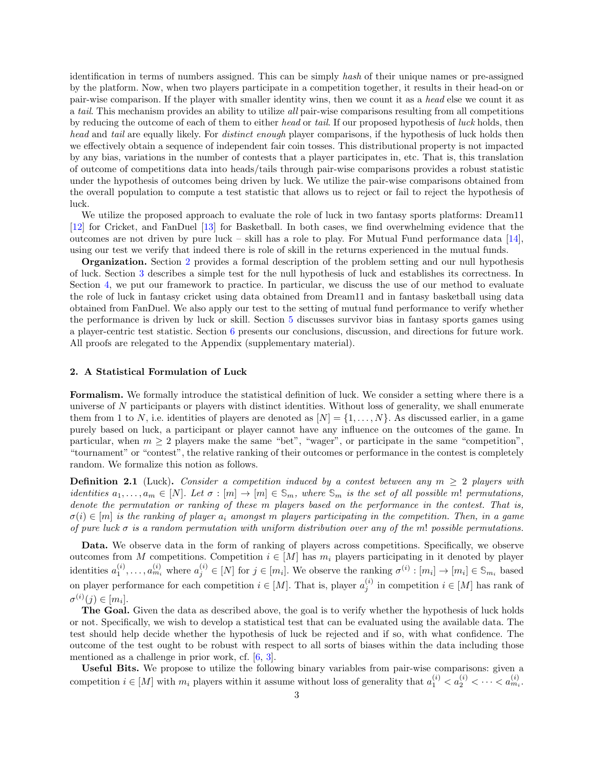identification in terms of numbers assigned. This can be simply hash of their unique names or pre-assigned by the platform. Now, when two players participate in a competition together, it results in their head-on or pair-wise comparison. If the player with smaller identity wins, then we count it as a head else we count it as a tail. This mechanism provides an ability to utilize all pair-wise comparisons resulting from all competitions by reducing the outcome of each of them to either head or tail. If our proposed hypothesis of luck holds, then head and tail are equally likely. For *distinct enough* player comparisons, if the hypothesis of luck holds then we effectively obtain a sequence of independent fair coin tosses. This distributional property is not impacted by any bias, variations in the number of contests that a player participates in, etc. That is, this translation of outcome of competitions data into heads/tails through pair-wise comparisons provides a robust statistic under the hypothesis of outcomes being driven by luck. We utilize the pair-wise comparisons obtained from the overall population to compute a test statistic that allows us to reject or fail to reject the hypothesis of luck.

We utilize the proposed approach to evaluate the role of luck in two fantasy sports platforms: Dream11 [\[12\]](#page-11-6) for Cricket, and FanDuel [\[13\]](#page-11-7) for Basketball. In both cases, we find overwhelming evidence that the outcomes are not driven by pure luck – skill has a role to play. For Mutual Fund performance data [\[14\]](#page-11-8), using our test we verify that indeed there is role of skill in the returns experienced in the mutual funds.

Organization. Section [2](#page-2-0) provides a formal description of the problem setting and our null hypothesis of luck. Section [3](#page-3-0) describes a simple test for the null hypothesis of luck and establishes its correctness. In Section [4,](#page-4-0) we put our framework to practice. In particular, we discuss the use of our method to evaluate the role of luck in fantasy cricket using data obtained from Dream11 and in fantasy basketball using data obtained from FanDuel. We also apply our test to the setting of mutual fund performance to verify whether the performance is driven by luck or skill. Section [5](#page-7-0) discusses survivor bias in fantasy sports games using a player-centric test statistic. Section [6](#page-10-0) presents our conclusions, discussion, and directions for future work. All proofs are relegated to the Appendix (supplementary material).

# <span id="page-2-0"></span>2. A Statistical Formulation of Luck

Formalism. We formally introduce the statistical definition of luck. We consider a setting where there is a universe of N participants or players with distinct identities. Without loss of generality, we shall enumerate them from 1 to N, i.e. identities of players are denoted as  $[N] = \{1, \ldots, N\}$ . As discussed earlier, in a game purely based on luck, a participant or player cannot have any influence on the outcomes of the game. In particular, when  $m \geq 2$  players make the same "bet", "wager", or participate in the same "competition", "tournament" or "contest", the relative ranking of their outcomes or performance in the contest is completely random. We formalize this notion as follows.

<span id="page-2-1"></span>**Definition 2.1** (Luck). Consider a competition induced by a contest between any  $m \geq 2$  players with identities  $a_1, \ldots, a_m \in [N]$ . Let  $\sigma : [m] \to [m] \in \mathbb{S}_m$ , where  $\mathbb{S}_m$  is the set of all possible m! permutations, denote the permutation or ranking of these m players based on the performance in the contest. That is,  $\sigma(i) \in [m]$  is the ranking of player  $a_i$  amongst m players participating in the competition. Then, in a game of pure luck  $\sigma$  is a random permutation with uniform distribution over any of the m! possible permutations.

Data. We observe data in the form of ranking of players across competitions. Specifically, we observe outcomes from M competitions. Competition  $i \in [M]$  has  $m_i$  players participating in it denoted by player identities  $a_1^{(i)}, \ldots, a_{m_i}^{(i)}$  where  $a_j^{(i)} \in [N]$  for  $j \in [m_i]$ . We observe the ranking  $\sigma^{(i)} : [m_i] \to [m_i] \in \mathbb{S}_{m_i}$  based on player performance for each competition  $i \in [M]$ . That is, player  $a_j^{(i)}$  in competition  $i \in [M]$  has rank of  $\sigma^{(i)}(j) \in [m_i].$ 

The Goal. Given the data as described above, the goal is to verify whether the hypothesis of luck holds or not. Specifically, we wish to develop a statistical test that can be evaluated using the available data. The test should help decide whether the hypothesis of luck be rejected and if so, with what confidence. The outcome of the test ought to be robust with respect to all sorts of biases within the data including those mentioned as a challenge in prior work, cf. [\[6,](#page-11-4) [3\]](#page-11-5).

Useful Bits. We propose to utilize the following binary variables from pair-wise comparisons: given a competition  $i \in [M]$  with  $m_i$  players within it assume without loss of generality that  $a_1^{(i)} < a_2^{(i)} < \cdots < a_{m_i}^{(i)}$ .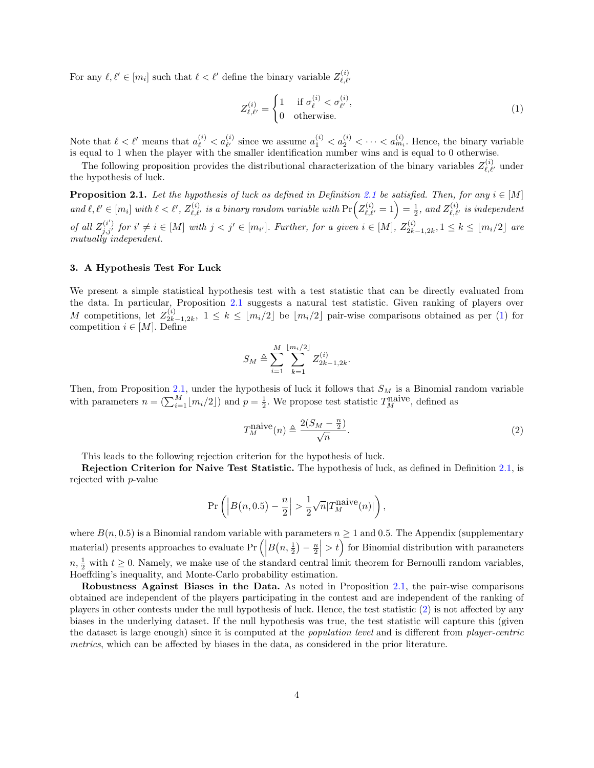For any  $\ell, \ell' \in [m_i]$  such that  $\ell < \ell'$  define the binary variable  $Z_{\ell, \ell'}^{(i)}$ 

<span id="page-3-2"></span>
$$
Z_{\ell,\ell'}^{(i)} = \begin{cases} 1 & \text{if } \sigma_\ell^{(i)} < \sigma_{\ell'}^{(i)}, \\ 0 & \text{otherwise.} \end{cases} \tag{1}
$$

Note that  $\ell < \ell'$  means that  $a_{\ell}^{(i)} < a_{\ell'}^{(i)}$  since we assume  $a_1^{(i)} < a_2^{(i)} < \cdots < a_{m_i}^{(i)}$ . Hence, the binary variable is equal to 1 when the player with the smaller identification number wins and is equal to 0 otherwise.

The following proposition provides the distributional characterization of the binary variables  $Z_{\ell,\ell'}^{(i)}$  under the hypothesis of luck.

<span id="page-3-1"></span>**Proposition [2.1](#page-2-1).** Let the hypothesis of luck as defined in Definition 2.1 be satisfied. Then, for any  $i \in [M]$ and  $\ell, \ell' \in [m_i]$  with  $\ell < \ell', Z_{\ell, \ell'}^{(i)}$  is a binary random variable with  $\Pr(Z_{\ell, \ell'}^{(i)} = 1) = \frac{1}{2}$ , and  $Z_{\ell, \ell'}^{(i)}$  is independent of all  $Z_{j,j'}^{(i')}$  for  $i' \neq i \in [M]$  with  $j < j' \in [m_{i'}]$ . Further, for a given  $i \in [M]$ ,  $Z_{2k}^{(i)}$ .  $\sum_{2k-1,2k}^{(i)}$ ,  $1 \leq k \leq \lfloor m_i/2 \rfloor$  are mutually independent.

# <span id="page-3-0"></span>3. A Hypothesis Test For Luck

We present a simple statistical hypothesis test with a test statistic that can be directly evaluated from the data. In particular, Proposition [2.1](#page-3-1) suggests a natural test statistic. Given ranking of players over M competitions, let  $Z_{2k}^{(i)}$  $2k-1,2k, \ 1 \leq k \leq \lfloor m_i/2 \rfloor$  be  $\lfloor m_i/2 \rfloor$  pair-wise comparisons obtained as per [\(1\)](#page-3-2) for competition  $i \in [M]$ . Define

$$
S_M \triangleq \sum_{i=1}^M \sum_{k=1}^{\lfloor m_i/2 \rfloor} Z_{2k-1,2k}^{(i)}.
$$

Then, from Proposition [2.1,](#page-3-1) under the hypothesis of luck it follows that  $S_M$  is a Binomial random variable with parameters  $n = \left(\sum_{i=1}^{M} \lfloor m_i/2 \rfloor\right)$  and  $p = \frac{1}{2}$ . We propose test statistic  $T_M^{\text{naive}}$ , defined as

<span id="page-3-3"></span>
$$
T_M^{\text{naive}}(n) \triangleq \frac{2(S_M - \frac{n}{2})}{\sqrt{n}}.\tag{2}
$$

This leads to the following rejection criterion for the hypothesis of luck.

Rejection Criterion for Naive Test Statistic. The hypothesis of luck, as defined in Definition [2.1,](#page-2-1) is rejected with p-value

$$
\Pr\left(\left|B\big(n,0.5\big)-\frac{n}{2}\right| > \frac{1}{2}\sqrt{n}|T_M^{\text{naive}}(n)|\right),\right.
$$

where  $B(n, 0.5)$  is a Binomial random variable with parameters  $n \ge 1$  and 0.5. The Appendix (supplementary material) presents approaches to evaluate  $Pr\left(\left|B(n, \frac{1}{2}) - \frac{n}{2}\right| > t\right)$  for Binomial distribution with parameters  $n, \frac{1}{2}$  with  $t \geq 0$ . Namely, we make use of the standard central limit theorem for Bernoulli random variables, Hoeffding's inequality, and Monte-Carlo probability estimation.

Robustness Against Biases in the Data. As noted in Proposition [2.1,](#page-3-1) the pair-wise comparisons obtained are independent of the players participating in the contest and are independent of the ranking of players in other contests under the null hypothesis of luck. Hence, the test statistic [\(2\)](#page-3-3) is not affected by any biases in the underlying dataset. If the null hypothesis was true, the test statistic will capture this (given the dataset is large enough) since it is computed at the population level and is different from player-centric metrics, which can be affected by biases in the data, as considered in the prior literature.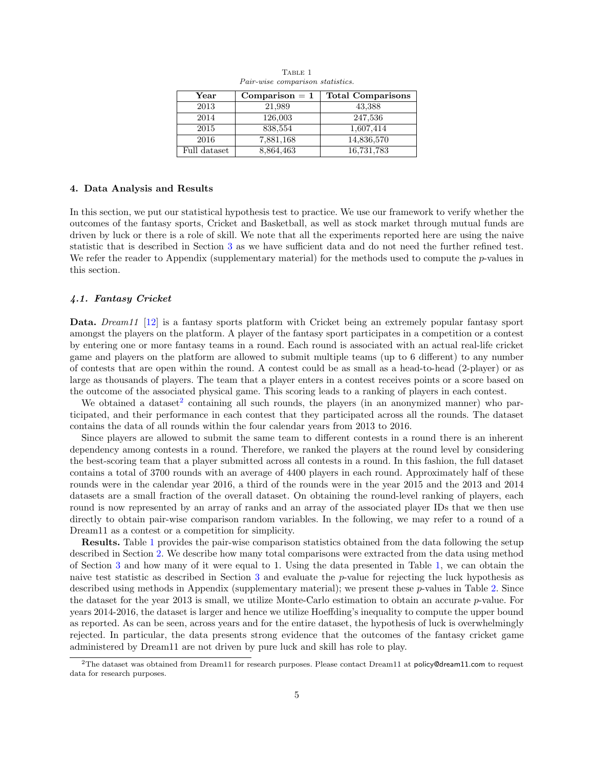<span id="page-4-2"></span>

| Year         | $Comparison = 1$ | <b>Total Comparisons</b> |
|--------------|------------------|--------------------------|
| 2013         | 21,989           | 43,388                   |
| 2014         | 126,003          | 247,536                  |
| 2015         | 838,554          | 1,607,414                |
| 2016         | 7,881,168        | 14,836,570               |
| Full dataset | 8,864,463        | 16,731,783               |

TABLE 1 Pair-wise comparison statistics.

#### <span id="page-4-0"></span>4. Data Analysis and Results

In this section, we put our statistical hypothesis test to practice. We use our framework to verify whether the outcomes of the fantasy sports, Cricket and Basketball, as well as stock market through mutual funds are driven by luck or there is a role of skill. We note that all the experiments reported here are using the naive statistic that is described in Section [3](#page-3-0) as we have sufficient data and do not need the further refined test. We refer the reader to Appendix (supplementary material) for the methods used to compute the p-values in this section.

#### 4.1. Fantasy Cricket

Data. Dream11 [\[12\]](#page-11-6) is a fantasy sports platform with Cricket being an extremely popular fantasy sport amongst the players on the platform. A player of the fantasy sport participates in a competition or a contest by entering one or more fantasy teams in a round. Each round is associated with an actual real-life cricket game and players on the platform are allowed to submit multiple teams (up to 6 different) to any number of contests that are open within the round. A contest could be as small as a head-to-head (2-player) or as large as thousands of players. The team that a player enters in a contest receives points or a score based on the outcome of the associated physical game. This scoring leads to a ranking of players in each contest.

We obtained a dataset<sup>[2](#page-4-1)</sup> containing all such rounds, the players (in an anonymized manner) who participated, and their performance in each contest that they participated across all the rounds. The dataset contains the data of all rounds within the four calendar years from 2013 to 2016.

Since players are allowed to submit the same team to different contests in a round there is an inherent dependency among contests in a round. Therefore, we ranked the players at the round level by considering the best-scoring team that a player submitted across all contests in a round. In this fashion, the full dataset contains a total of 3700 rounds with an average of 4400 players in each round. Approximately half of these rounds were in the calendar year 2016, a third of the rounds were in the year 2015 and the 2013 and 2014 datasets are a small fraction of the overall dataset. On obtaining the round-level ranking of players, each round is now represented by an array of ranks and an array of the associated player IDs that we then use directly to obtain pair-wise comparison random variables. In the following, we may refer to a round of a Dream11 as a contest or a competition for simplicity.

Results. Table [1](#page-4-2) provides the pair-wise comparison statistics obtained from the data following the setup described in Section [2.](#page-2-0) We describe how many total comparisons were extracted from the data using method of Section [3](#page-3-0) and how many of it were equal to 1. Using the data presented in Table [1,](#page-4-2) we can obtain the naive test statistic as described in Section [3](#page-3-0) and evaluate the p-value for rejecting the luck hypothesis as described using methods in Appendix (supplementary material); we present these p-values in Table [2.](#page-5-0) Since the dataset for the year 2013 is small, we utilize Monte-Carlo estimation to obtain an accurate  $p$ -value. For years 2014-2016, the dataset is larger and hence we utilize Hoeffding's inequality to compute the upper bound as reported. As can be seen, across years and for the entire dataset, the hypothesis of luck is overwhelmingly rejected. In particular, the data presents strong evidence that the outcomes of the fantasy cricket game administered by Dream11 are not driven by pure luck and skill has role to play.

<span id="page-4-1"></span><sup>&</sup>lt;sup>2</sup>The dataset was obtained from Dream11 for research purposes. Please contact Dream11 at policy@dream11.com to request data for research purposes.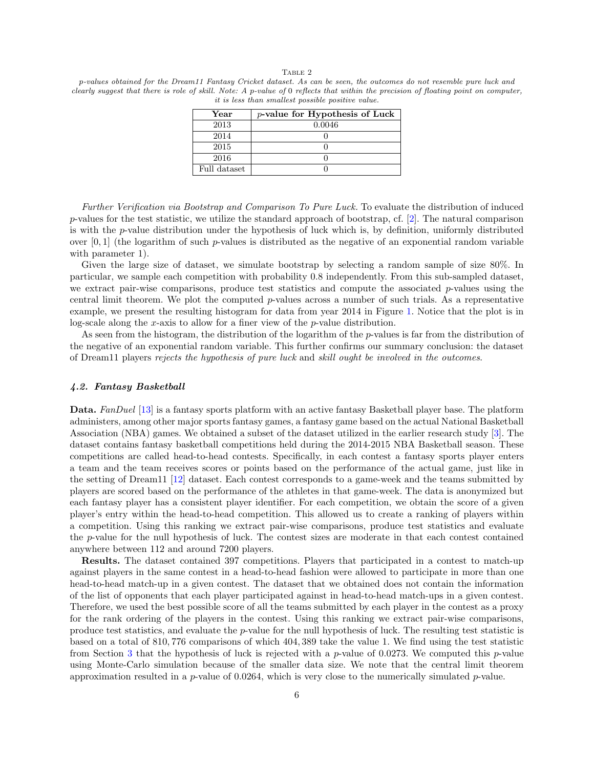#### TABLE 2

<span id="page-5-0"></span>p-values obtained for the Dream11 Fantasy Cricket dataset. As can be seen, the outcomes do not resemble pure luck and clearly suggest that there is role of skill. Note: A p-value of 0 reflects that within the precision of floating point on computer, it is less than smallest possible positive value.

| Year         | $p$ -value for Hypothesis of Luck |  |
|--------------|-----------------------------------|--|
| 2013         | 0.0046                            |  |
| 2014         |                                   |  |
| 2015         |                                   |  |
| 2016         |                                   |  |
| Full dataset |                                   |  |

Further Verification via Bootstrap and Comparison To Pure Luck. To evaluate the distribution of induced p-values for the test statistic, we utilize the standard approach of bootstrap, cf. [\[2\]](#page-11-9). The natural comparison is with the p-value distribution under the hypothesis of luck which is, by definition, uniformly distributed over  $[0, 1]$  (the logarithm of such p-values is distributed as the negative of an exponential random variable with parameter 1).

Given the large size of dataset, we simulate bootstrap by selecting a random sample of size 80%. In particular, we sample each competition with probability 0.8 independently. From this sub-sampled dataset, we extract pair-wise comparisons, produce test statistics and compute the associated  $p$ -values using the central limit theorem. We plot the computed p-values across a number of such trials. As a representative example, we present the resulting histogram for data from year 2014 in Figure [1.](#page-6-0) Notice that the plot is in log-scale along the x-axis to allow for a finer view of the  $p$ -value distribution.

As seen from the histogram, the distribution of the logarithm of the p-values is far from the distribution of the negative of an exponential random variable. This further confirms our summary conclusion: the dataset of Dream11 players rejects the hypothesis of pure luck and skill ought be involved in the outcomes.

#### 4.2. Fantasy Basketball

Data. FanDuel [\[13\]](#page-11-7) is a fantasy sports platform with an active fantasy Basketball player base. The platform administers, among other major sports fantasy games, a fantasy game based on the actual National Basketball Association (NBA) games. We obtained a subset of the dataset utilized in the earlier research study [\[3\]](#page-11-5). The dataset contains fantasy basketball competitions held during the 2014-2015 NBA Basketball season. These competitions are called head-to-head contests. Specifically, in each contest a fantasy sports player enters a team and the team receives scores or points based on the performance of the actual game, just like in the setting of Dream11 [\[12\]](#page-11-6) dataset. Each contest corresponds to a game-week and the teams submitted by players are scored based on the performance of the athletes in that game-week. The data is anonymized but each fantasy player has a consistent player identifier. For each competition, we obtain the score of a given player's entry within the head-to-head competition. This allowed us to create a ranking of players within a competition. Using this ranking we extract pair-wise comparisons, produce test statistics and evaluate the p-value for the null hypothesis of luck. The contest sizes are moderate in that each contest contained anywhere between 112 and around 7200 players.

Results. The dataset contained 397 competitions. Players that participated in a contest to match-up against players in the same contest in a head-to-head fashion were allowed to participate in more than one head-to-head match-up in a given contest. The dataset that we obtained does not contain the information of the list of opponents that each player participated against in head-to-head match-ups in a given contest. Therefore, we used the best possible score of all the teams submitted by each player in the contest as a proxy for the rank ordering of the players in the contest. Using this ranking we extract pair-wise comparisons, produce test statistics, and evaluate the  $p$ -value for the null hypothesis of luck. The resulting test statistic is based on a total of 810, 776 comparisons of which 404, 389 take the value 1. We find using the test statistic from Section [3](#page-3-0) that the hypothesis of luck is rejected with a p-value of 0.0273. We computed this p-value using Monte-Carlo simulation because of the smaller data size. We note that the central limit theorem approximation resulted in a  $p$ -value of 0.0264, which is very close to the numerically simulated  $p$ -value.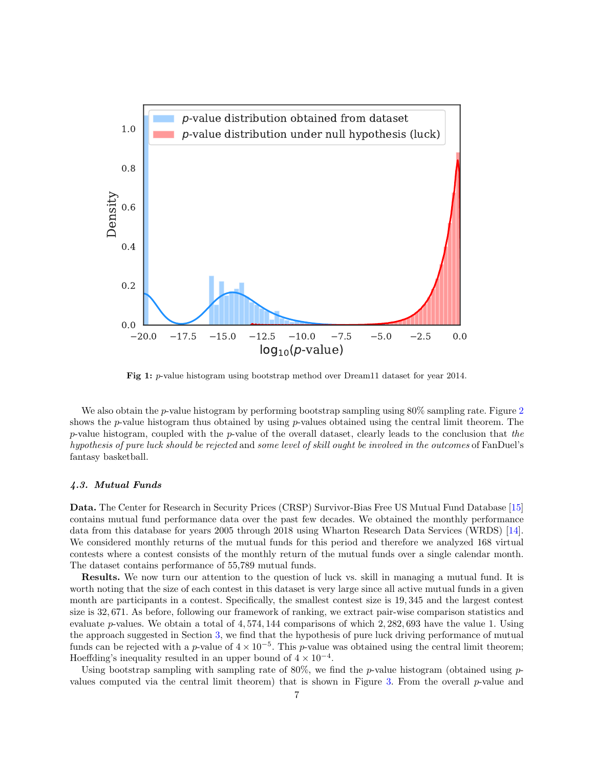<span id="page-6-0"></span>

Fig 1: p-value histogram using bootstrap method over Dream11 dataset for year 2014.

We also obtain the *p*-value histogram by performing bootstrap sampling using 80% sampling rate. Figure [2](#page-7-1) shows the p-value histogram thus obtained by using p-values obtained using the central limit theorem. The p-value histogram, coupled with the p-value of the overall dataset, clearly leads to the conclusion that the hypothesis of pure luck should be rejected and some level of skill ought be involved in the outcomes of FanDuel's fantasy basketball.

# 4.3. Mutual Funds

Data. The Center for Research in Security Prices (CRSP) Survivor-Bias Free US Mutual Fund Database [\[15\]](#page-11-10) contains mutual fund performance data over the past few decades. We obtained the monthly performance data from this database for years 2005 through 2018 using Wharton Research Data Services (WRDS) [\[14\]](#page-11-8). We considered monthly returns of the mutual funds for this period and therefore we analyzed 168 virtual contests where a contest consists of the monthly return of the mutual funds over a single calendar month. The dataset contains performance of 55,789 mutual funds.

Results. We now turn our attention to the question of luck vs. skill in managing a mutual fund. It is worth noting that the size of each contest in this dataset is very large since all active mutual funds in a given month are participants in a contest. Specifically, the smallest contest size is 19, 345 and the largest contest size is 32, 671. As before, following our framework of ranking, we extract pair-wise comparison statistics and evaluate p-values. We obtain a total of  $4,574,144$  comparisons of which  $2,282,693$  have the value 1. Using the approach suggested in Section [3,](#page-3-0) we find that the hypothesis of pure luck driving performance of mutual funds can be rejected with a p-value of  $4 \times 10^{-5}$ . This p-value was obtained using the central limit theorem; Hoeffding's inequality resulted in an upper bound of  $4 \times 10^{-4}$ .

Using bootstrap sampling with sampling rate of 80%, we find the p-value histogram (obtained using  $p$ -values computed via the central limit theorem) that is shown in Figure [3.](#page-8-0) From the overall  $p$ -value and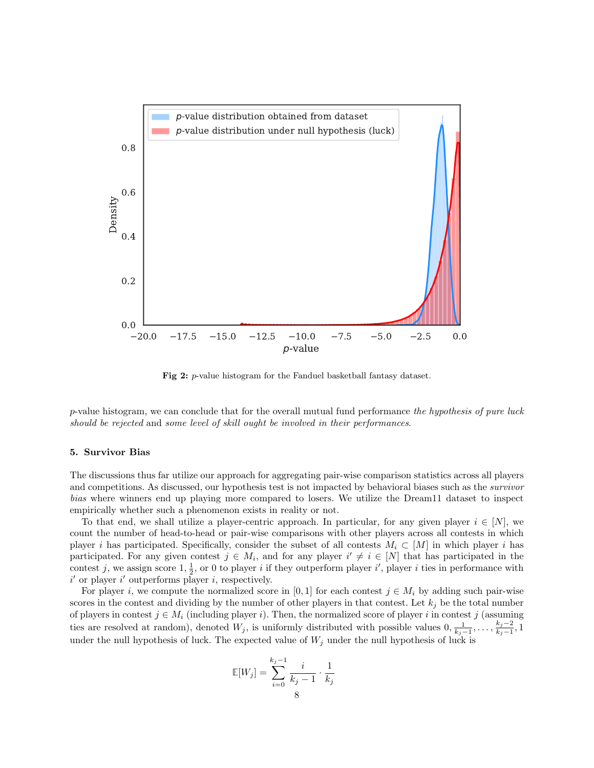<span id="page-7-1"></span>

Fig 2: p-value histogram for the Fanduel basketball fantasy dataset.

 $p$ -value histogram, we can conclude that for the overall mutual fund performance the hypothesis of pure luck should be rejected and some level of skill ought be involved in their performances.

### <span id="page-7-0"></span>5. Survivor Bias

The discussions thus far utilize our approach for aggregating pair-wise comparison statistics across all players and competitions. As discussed, our hypothesis test is not impacted by behavioral biases such as the survivor bias where winners end up playing more compared to losers. We utilize the Dream11 dataset to inspect empirically whether such a phenomenon exists in reality or not.

To that end, we shall utilize a player-centric approach. In particular, for any given player  $i \in [N]$ , we count the number of head-to-head or pair-wise comparisons with other players across all contests in which player i has participated. Specifically, consider the subset of all contests  $M_i \subset [M]$  in which player i has participated. For any given contest  $j \in M_i$ , and for any player  $i' \neq i \in [N]$  that has participated in the contest j, we assign score  $1, \frac{1}{2}$ , or 0 to player i if they outperform player i', player i ties in performance with  $i'$  or player  $i'$  outperforms player i, respectively.

For player i, we compute the normalized score in [0, 1] for each contest  $j \in M_i$  by adding such pair-wise scores in the contest and dividing by the number of other players in that contest. Let  $k_j$  be the total number of players in contest  $j \in M_i$  (including player i). Then, the normalized score of player i in contest j (assuming ties are resolved at random), denoted  $W_j$ , is uniformly distributed with possible values  $0, \frac{1}{k_j-1}, \ldots, \frac{k_j-2}{k_j-1}$  $\frac{\kappa_j-2}{k_j-1}, 1$ under the null hypothesis of luck. The expected value of  $W_j$  under the null hypothesis of luck is

$$
\mathbb{E}[W_j] = \sum_{i=0}^{k_j-1} \frac{i}{k_j-1} \cdot \frac{1}{k_j}
$$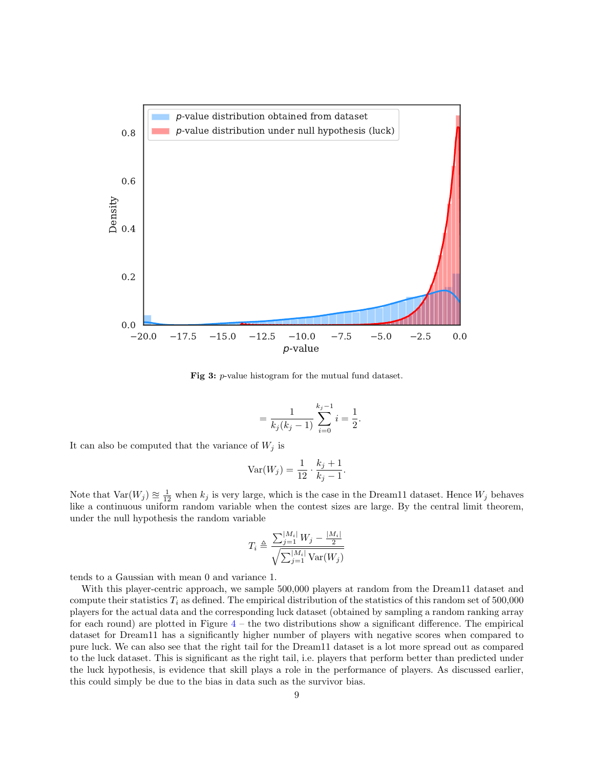<span id="page-8-0"></span>

Fig 3: p-value histogram for the mutual fund dataset.

$$
=\frac{1}{k_j(k_j-1)}\sum_{i=0}^{k_j-1}i=\frac{1}{2}.
$$

It can also be computed that the variance of  $W_j$  is

$$
Var(W_j) = \frac{1}{12} \cdot \frac{k_j + 1}{k_j - 1}.
$$

Note that  $\text{Var}(W_j) \approx \frac{1}{12}$  when  $k_j$  is very large, which is the case in the Dream11 dataset. Hence  $W_j$  behaves like a continuous uniform random variable when the contest sizes are large. By the central limit theorem, under the null hypothesis the random variable

$$
T_i \triangleq \frac{\sum_{j=1}^{|M_i|} W_j - \frac{|M_i|}{2}}{\sqrt{\sum_{j=1}^{|M_i|} \text{Var}(W_j)}}
$$

tends to a Gaussian with mean 0 and variance 1.

With this player-centric approach, we sample 500,000 players at random from the Dream11 dataset and compute their statistics  $T_i$  as defined. The empirical distribution of the statistics of this random set of 500,000 players for the actual data and the corresponding luck dataset (obtained by sampling a random ranking array for each round) are plotted in Figure  $4$  – the two distributions show a significant difference. The empirical dataset for Dream11 has a significantly higher number of players with negative scores when compared to pure luck. We can also see that the right tail for the Dream11 dataset is a lot more spread out as compared to the luck dataset. This is significant as the right tail, i.e. players that perform better than predicted under the luck hypothesis, is evidence that skill plays a role in the performance of players. As discussed earlier, this could simply be due to the bias in data such as the survivor bias.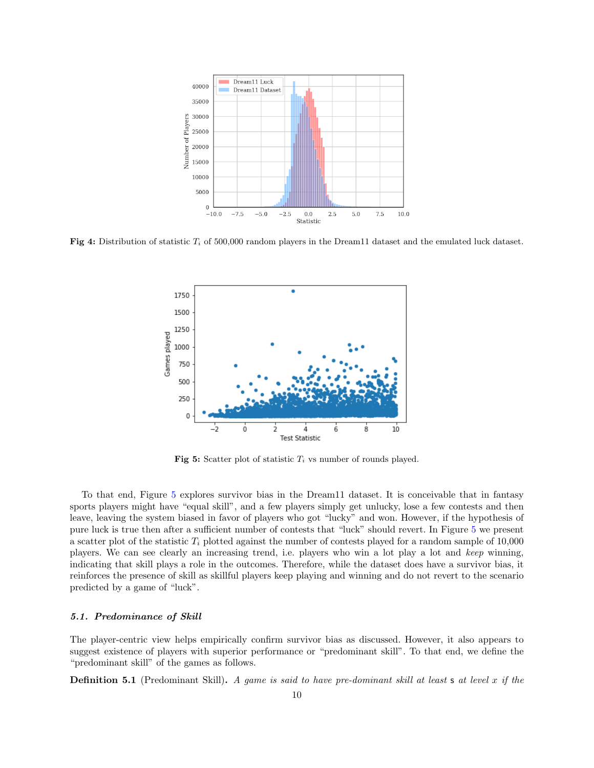<span id="page-9-0"></span>

<span id="page-9-1"></span>Fig 4: Distribution of statistic  $T_i$  of 500,000 random players in the Dream11 dataset and the emulated luck dataset.



Fig 5: Scatter plot of statistic  $T_i$  vs number of rounds played.

To that end, Figure [5](#page-9-1) explores survivor bias in the Dream11 dataset. It is conceivable that in fantasy sports players might have "equal skill", and a few players simply get unlucky, lose a few contests and then leave, leaving the system biased in favor of players who got "lucky" and won. However, if the hypothesis of pure luck is true then after a sufficient number of contests that "luck" should revert. In Figure [5](#page-9-1) we present a scatter plot of the statistic  $T_i$  plotted against the number of contests played for a random sample of 10,000 players. We can see clearly an increasing trend, i.e. players who win a lot play a lot and keep winning, indicating that skill plays a role in the outcomes. Therefore, while the dataset does have a survivor bias, it reinforces the presence of skill as skillful players keep playing and winning and do not revert to the scenario predicted by a game of "luck".

#### 5.1. Predominance of Skill

The player-centric view helps empirically confirm survivor bias as discussed. However, it also appears to suggest existence of players with superior performance or "predominant skill". To that end, we define the "predominant skill" of the games as follows.

**Definition 5.1** (Predominant Skill). A game is said to have pre-dominant skill at least  $s$  at level  $x$  if the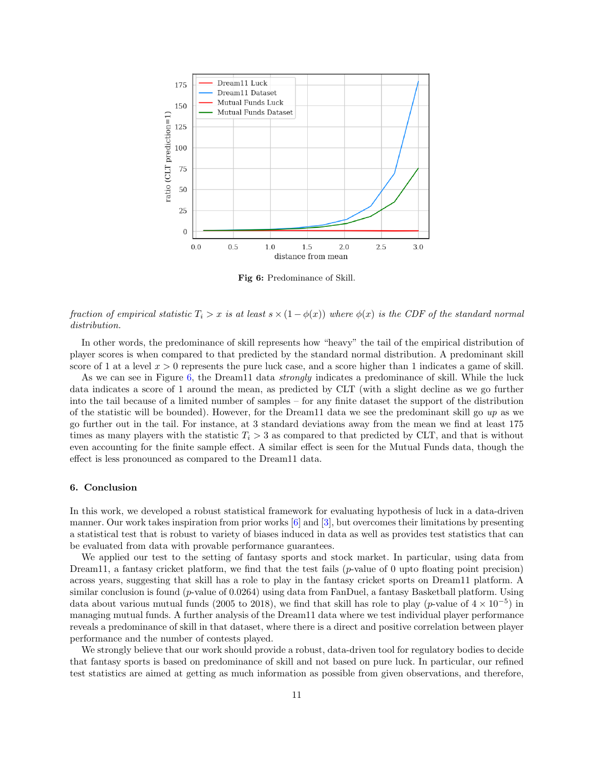<span id="page-10-1"></span>

Fig 6: Predominance of Skill.

fraction of empirical statistic  $T_i > x$  is at least  $s \times (1 - \phi(x))$  where  $\phi(x)$  is the CDF of the standard normal distribution.

In other words, the predominance of skill represents how "heavy" the tail of the empirical distribution of player scores is when compared to that predicted by the standard normal distribution. A predominant skill score of 1 at a level  $x > 0$  represents the pure luck case, and a score higher than 1 indicates a game of skill.

As we can see in Figure [6,](#page-10-1) the Dream11 data *strongly* indicates a predominance of skill. While the luck data indicates a score of 1 around the mean, as predicted by CLT (with a slight decline as we go further into the tail because of a limited number of samples – for any finite dataset the support of the distribution of the statistic will be bounded). However, for the Dream11 data we see the predominant skill go  $up$  as we go further out in the tail. For instance, at 3 standard deviations away from the mean we find at least 175 times as many players with the statistic  $T_i > 3$  as compared to that predicted by CLT, and that is without even accounting for the finite sample effect. A similar effect is seen for the Mutual Funds data, though the effect is less pronounced as compared to the Dream11 data.

### <span id="page-10-0"></span>6. Conclusion

In this work, we developed a robust statistical framework for evaluating hypothesis of luck in a data-driven manner. Our work takes inspiration from prior works [\[6\]](#page-11-4) and [\[3\]](#page-11-5), but overcomes their limitations by presenting a statistical test that is robust to variety of biases induced in data as well as provides test statistics that can be evaluated from data with provable performance guarantees.

We applied our test to the setting of fantasy sports and stock market. In particular, using data from Dream11, a fantasy cricket platform, we find that the test fails  $(p$ -value of 0 upto floating point precision) across years, suggesting that skill has a role to play in the fantasy cricket sports on Dream11 platform. A similar conclusion is found (p-value of 0.0264) using data from FanDuel, a fantasy Basketball platform. Using data about various mutual funds (2005 to 2018), we find that skill has role to play (p-value of  $4 \times 10^{-5}$ ) in managing mutual funds. A further analysis of the Dream11 data where we test individual player performance reveals a predominance of skill in that dataset, where there is a direct and positive correlation between player performance and the number of contests played.

We strongly believe that our work should provide a robust, data-driven tool for regulatory bodies to decide that fantasy sports is based on predominance of skill and not based on pure luck. In particular, our refined test statistics are aimed at getting as much information as possible from given observations, and therefore,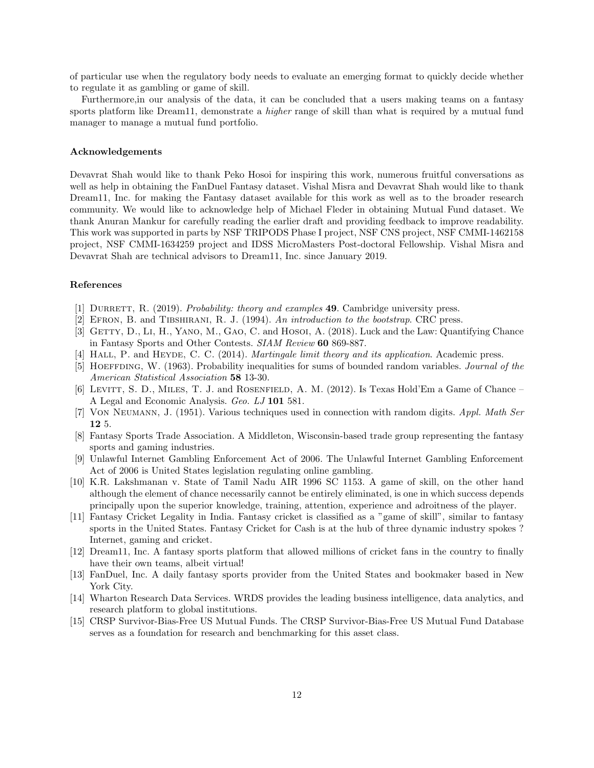of particular use when the regulatory body needs to evaluate an emerging format to quickly decide whether to regulate it as gambling or game of skill.

Furthermore,in our analysis of the data, it can be concluded that a users making teams on a fantasy sports platform like Dream11, demonstrate a *higher* range of skill than what is required by a mutual fund manager to manage a mutual fund portfolio.

#### Acknowledgements

Devavrat Shah would like to thank Peko Hosoi for inspiring this work, numerous fruitful conversations as well as help in obtaining the FanDuel Fantasy dataset. Vishal Misra and Devavrat Shah would like to thank Dream11, Inc. for making the Fantasy dataset available for this work as well as to the broader research community. We would like to acknowledge help of Michael Fleder in obtaining Mutual Fund dataset. We thank Anuran Mankur for carefully reading the earlier draft and providing feedback to improve readability. This work was supported in parts by NSF TRIPODS Phase I project, NSF CNS project, NSF CMMI-1462158 project, NSF CMMI-1634259 project and IDSS MicroMasters Post-doctoral Fellowship. Vishal Misra and Devavrat Shah are technical advisors to Dream11, Inc. since January 2019.

# References

- [1] DURRETT, R. (2019). Probability: theory and examples **49**. Cambridge university press.
- <span id="page-11-9"></span>[2] Efron, B. and Tibshirani, R. J. (1994). An introduction to the bootstrap. CRC press.
- <span id="page-11-5"></span>[3] GETTY, D., LI, H., YANO, M., GAO, C. and HOSOI, A. (2018). Luck and the Law: Quantifying Chance in Fantasy Sports and Other Contests. SIAM Review 60 869-887.
- [4] HALL, P. and HEYDE, C. C. (2014). *Martingale limit theory and its application*. Academic press.
- <span id="page-11-11"></span>[5] HOEFFDING, W. (1963). Probability inequalities for sums of bounded random variables. Journal of the American Statistical Association 58 13-30.
- <span id="page-11-4"></span>[6] LEVITT, S. D., MILES, T. J. and ROSENFIELD, A. M. (2012). Is Texas Hold'Em a Game of Chance – A Legal and Economic Analysis. Geo. LJ 101 581.
- [7] Von Neumann, J. (1951). Various techniques used in connection with random digits. Appl. Math Ser 12 5.
- <span id="page-11-0"></span>[8] Fantasy Sports Trade Association. A Middleton, Wisconsin-based trade group representing the fantasy sports and gaming industries.
- <span id="page-11-1"></span>[9] Unlawful Internet Gambling Enforcement Act of 2006. The Unlawful Internet Gambling Enforcement Act of 2006 is United States legislation regulating online gambling.
- <span id="page-11-2"></span>[10] K.R. Lakshmanan v. State of Tamil Nadu AIR 1996 SC 1153. A game of skill, on the other hand although the element of chance necessarily cannot be entirely eliminated, is one in which success depends principally upon the superior knowledge, training, attention, experience and adroitness of the player.
- <span id="page-11-3"></span>[11] Fantasy Cricket Legality in India. Fantasy cricket is classified as a "game of skill", similar to fantasy sports in the United States. Fantasy Cricket for Cash is at the hub of three dynamic industry spokes ? Internet, gaming and cricket.
- <span id="page-11-6"></span>[12] Dream11, Inc. A fantasy sports platform that allowed millions of cricket fans in the country to finally have their own teams, albeit virtual!
- <span id="page-11-7"></span>[13] FanDuel, Inc. A daily fantasy sports provider from the United States and bookmaker based in New York City.
- <span id="page-11-8"></span>[14] Wharton Research Data Services. WRDS provides the leading business intelligence, data analytics, and research platform to global institutions.
- <span id="page-11-10"></span>[15] CRSP Survivor-Bias-Free US Mutual Funds. The CRSP Survivor-Bias-Free US Mutual Fund Database serves as a foundation for research and benchmarking for this asset class.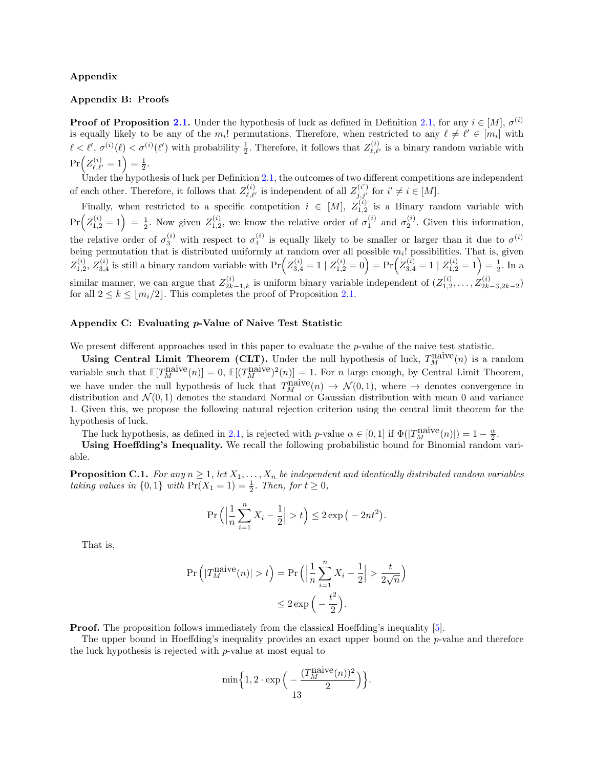# Appendix

# Appendix B: Proofs

**Proof of Proposition [2.1.](#page-3-1)** Under the hypothesis of luck as defined in Definition [2.1,](#page-2-1) for any  $i \in [M]$ ,  $\sigma^{(i)}$ is equally likely to be any of the  $m_i!$  permutations. Therefore, when restricted to any  $\ell \neq \ell' \in [m_i]$  with  $\ell < \ell', \sigma^{(i)}(\ell) < \sigma^{(i)}(\ell')$  with probability  $\frac{1}{2}$ . Therefore, it follows that  $Z_{\ell,\ell'}^{(i)}$  is a binary random variable with  $\Pr\Bigl(Z_{\ell,\ell'}^{(i)} = 1\Bigr) = \frac{1}{2}.$ 

Under the hypothesis of luck per Definition [2.1,](#page-2-1) the outcomes of two different competitions are independent of each other. Therefore, it follows that  $Z_{\ell,\ell'}^{(i)}$  is independent of all  $Z_{j,j'}^{(i')}$  for  $i' \neq i \in [M]$ .

Finally, when restricted to a specific competition  $i \in [M], Z_{1,2}^{(i)}$  is a Binary random variable with  $Pr(Z_{1,2}^{(i)}=1)=\frac{1}{2}$ . Now given  $Z_{1,2}^{(i)}$ , we know the relative order of  $\sigma_1^{(i)}$  and  $\sigma_2^{(i)}$ . Given this information, the relative order of  $\sigma_3^{(i)}$  with respect to  $\sigma_4^{(i)}$  is equally likely to be smaller or larger than it due to  $\sigma^{(i)}$ being permutation that is distributed uniformly at random over all possible  $m_i!$  possibilities. That is, given  $Z_{1,2}^{(i)}$ ,  $Z_{3,4}^{(i)}$  is still a binary random variable with  $Pr(Z_{3,4}^{(i)} = 1 | Z_{1,2}^{(i)} = 0) = Pr(Z_{3,4}^{(i)} = 1 | Z_{1,2}^{(i)} = 1) = \frac{1}{2}$ . In a similar manner, we can argue that  $Z_{2k-1,k}^{(i)}$  is uniform binary variable independent of  $(Z_{1,2}^{(i)},...,Z_{2k-3,2k-2}^{(i)})$ for all  $2 \leq k \leq \lfloor m_i/2 \rfloor$ . This completes the proof of Proposition [2.1.](#page-3-1)

# Appendix C: Evaluating p-Value of Naive Test Statistic

We present different approaches used in this paper to evaluate the p-value of the naive test statistic.

Using Central Limit Theorem (CLT). Under the null hypothesis of luck,  $T_M^{\text{naive}}(n)$  is a random variable such that  $\mathbb{E}[T_M^{\text{naive}}(n)] = 0$ ,  $\mathbb{E}[(T_M^{\text{naive}})^2(n)] = 1$ . For n large enough, by Central Limit Theorem, we have under the null hypothesis of luck that  $T_M^{\text{naive}}(n) \to \mathcal{N}(0,1)$ , where  $\to$  denotes convergence in distribution and  $\mathcal{N}(0,1)$  denotes the standard Normal or Gaussian distribution with mean 0 and variance 1. Given this, we propose the following natural rejection criterion using the central limit theorem for the hypothesis of luck.

The luck hypothesis, as defined in [2.1,](#page-2-1) is rejected with p-value  $\alpha \in [0,1]$  if  $\Phi(|T_M^{\text{naive}}(n)|) = 1 - \frac{\alpha}{2}$ .

Using Hoeffding's Inequality. We recall the following probabilistic bound for Binomial random variable.

**Proposition C.1.** For any  $n \geq 1$ , let  $X_1, \ldots, X_n$  be independent and identically distributed random variables taking values in  $\{0,1\}$  with  $Pr(X_1 = 1) = \frac{1}{2}$ . Then, for  $t \geq 0$ ,

$$
\Pr\left(\left|\frac{1}{n}\sum_{i=1}^{n}X_{i}-\frac{1}{2}\right|>t\right)\leq 2\exp\left(-2nt^{2}\right).
$$

That is,

$$
\Pr\left(|T_M^{\text{naive}}(n)| > t\right) = \Pr\left(\left|\frac{1}{n}\sum_{i=1}^n X_i - \frac{1}{2}\right| > \frac{t}{2\sqrt{n}}\right) \le 2\exp\left(-\frac{t^2}{2}\right).
$$

**Proof.** The proposition follows immediately from the classical Hoeffding's inequality [\[5\]](#page-11-11).

The upper bound in Hoeffding's inequality provides an exact upper bound on the  $p$ -value and therefore the luck hypothesis is rejected with p-value at most equal to

$$
\min\Bigl\{1,2\cdot\exp\Bigl(-\frac{(T_M^{\rm naive}(n))^2}{2}\Bigr)\Bigr\}.
$$